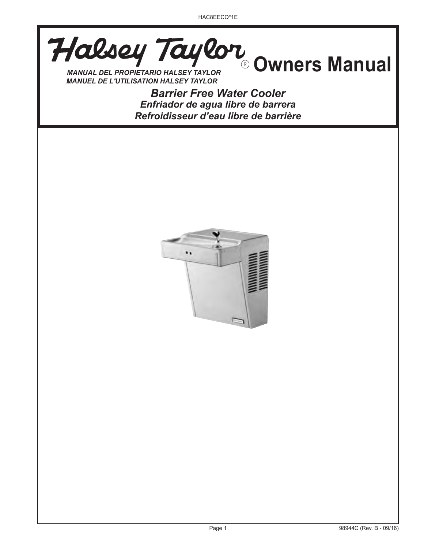**MANUAL DEL PROPIETARIO HALSEY TAYLOR** 

*MANUEL DE L'UTILISATION HALSEY TAYLOR*

*Barrier Free Water Cooler Enfriador de agua libre de barrera Refroidisseur d'eau libre de barrière*

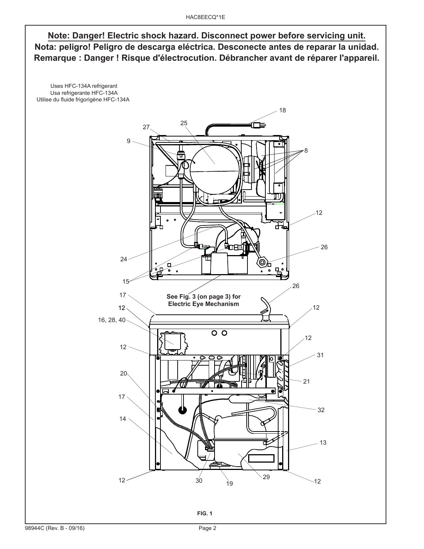# **Note: Danger! Electric shock hazard. Disconnect power before servicing unit. Nota: peligro! Peligro de descarga eléctrica. Desconecte antes de reparar la unidad. Remarque : Danger ! Risque d'électrocution. Débrancher avant de réparer l'appareil.**

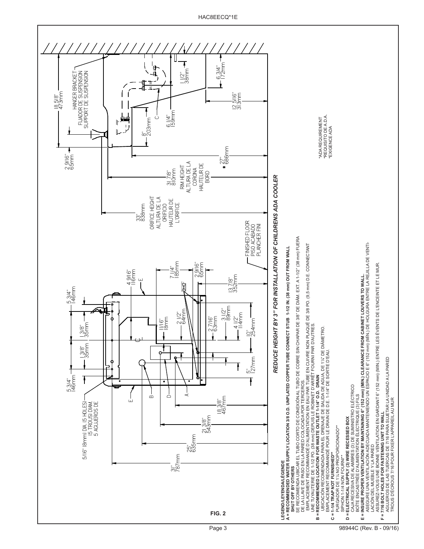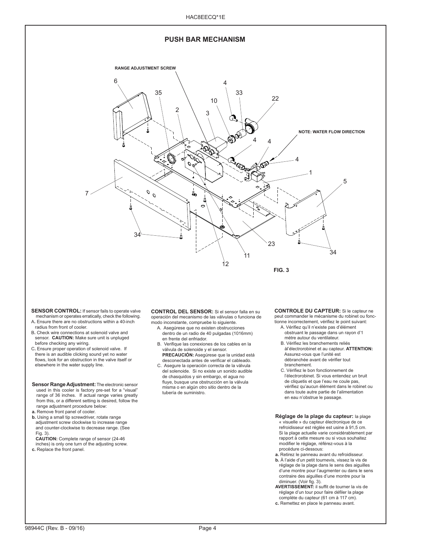

**SENSOR CONTROL:** If sensor fails to operate valve mechanism or operates erratically, check the following.

- A**.** Ensure there are no obstructions within a 40-inch radius from front of cooler.
- B**.** Check wire connections at solenoid valve and sensor. **CAUTION:** Make sure unit is unpluged
- before checking any wiring. C**.** Ensure proper operation of solenoid valve. If there is an audible clicking sound yet no water flows, look for an obstruction in the valve itself or elsewhere in the water supply line.
- **Sensor Range Adjustment:** The electronic sensor used in this cooler is factory pre-set for a "visual" range of 36 inches. If actual range varies greatly from this, or a different setting is desired, follow the range adjustment procedure below: **a.** Remove front panel of cooler.
- **b.** Using a small tip screwdriver, rotate range adjustment screw clockwise to increase range and counter-clockwise to decrease range. (See Fig. 3).

 **CAUTION:** Complete range of sensor (24-46 inches) is only one turn of the adjusting screw.

**c.** Replace the front panel.

**CONTROL DEL SENSOR:** Si el sensor falla en su operación del mecanismo de las válvulas o funciona de modo inconstante, compruebe lo siguiente.

- A. Asegúrese que no existen obstrucciones dentro de un radio de 40 pulgadas (1016mm) en frente del enfriador.
- B. Verifique las conexiones de los cables en la válvula de solenoide y el sensor.  **PRECAUCIÓN:** Asegúrese que la unidad está
- desconectada antes de verificar el cableado. C. Asegure la operación correcta de la válvula del solenoide. Si no existe un sonido audible de chasquidos y sin embargo, el agua no
- fluye, busque una obstrucción en la válvula misma o en algún otro sitio dentro de la tubería de suministro.

# **CONTROLE DU CAPTEUR:** Si le capteur ne

- peut commander le mécanisme du robinet ou fonctionne incorrectement, vérifiez le point suivant: A. Vérifiez qu'il n'existe pas d'élément
	- obstruant le passage dans un rayon d'1 mètre autour du ventilateur.
	- B. Vérifiez les branchements reliés àl'électrorobinet et au capteur. **ATTENTION:** Assurez-vous que l'unité est débranchée avant de vérifier tout branchement.
	- C. Vérifiez le bon fonctionnement de l'électrorobinet. Si vous entendez un bruit de cliquetis et que l'eau ne coule pas, vérifiez qu'aucun élément dans le robinet ou dans toute autre partie de l'alimentation en eau n'obstrue le passage.
- **Réglage de la plage du capteur:** la plage « visuelle » du capteur électronique de ce refroidisseur est réglée est usine à 91,5 cm. Si la plage actuelle varie considérablement par rapport à cette mesure ou si vous souhaitez modifier le réglage, référez-vous à la procédure ci-dessous:
- **a.** Retirez le panneau avant du refroidisseur. **b.** À l'aide d'un petit tournevis, vissez la vis de réglage de la plage dans le sens des aiguilles d'une montre pour l'augmenter ou dans le sens
- contraire des aiguilles d'une montre pour la diminuer. (Voir fig. 3). **AVERTISSEMENT:** il suffit de tourner la vis de réglage d'un tour pour faire défiler la plage
- complète du capteur (61 cm à 117 cm).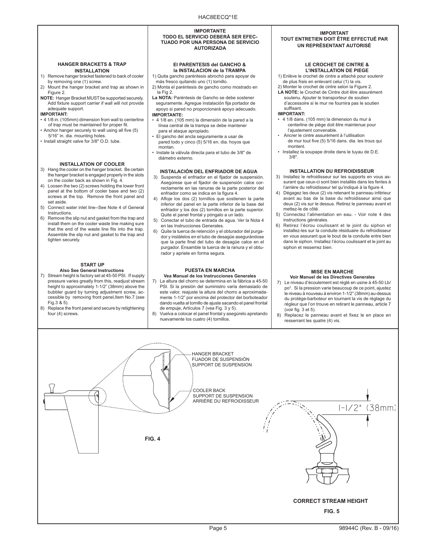#### **IMPORTANTE TODO EL SERVICIO DEBERÁ SER EFEC-TUADO POR UNA PERSONA DE SERVICIO AUTORIZADA**

#### **HANGER BRACKETS & TRAP INSTALLATION**

- 1) Remove hanger bracket fastened to back of cooler by removing one (1) screw.
- 2) Mount the hanger bracket and trap as shown in Figure 2.
- **NOTE:** Hanger Bracket MUST be supported securely. Add fixture support carrier if wall will not provide adequate support.

### **IMPORTANT:**

- 4 1/8 in. (105mm) dimension from wall to centerline of trap must be maintained for proper fit.
- Anchor hanger securely to wall using all five (5) 5/16" in. dia. mounting holes.
- Install straight valve for 3/8" O.D. tube.

### **INSTALLATION OF COOLER**

- 3) Hang the cooler on the hanger bracket. Be certain the hanger bracket is engaged properly in the slots on the cooler back as shown in Fig. 4.
- 4) Loosen the two (2) screws holding the lower front panel at the bottom of cooler base and two (2) screws at the top. Remove the front panel and set aside.
- 5) Connect water inlet line--See Note 4 of General Instructions.
- 6) Remove the slip nut and gasket from the trap and install them on the cooler waste line making sure that the end of the waste line fits into the trap. Assemble the slip nut and gasket to the trap and tighten securely.

#### **START UP Also See General Instructions**

- 7) Stream height is factory set at 45-50 PSI. If supply pressure varies greatly from this, readjust stream height to approximately 1-1/2" (38mm) above the bubbler guard by turning adjustment screw, accessible by removing front panel,Item No.7 (see Fig.3 & 5).
- 8) Replace the front panel and secure by retightening four (4) screws.

# **El PARENTESIS del GANCHO & la INSTALACION de la TRAMPA**

- 1) Quita gancho paréntesis abrochó para apoyar de
- más fresco quitando uno (1) tornillo. 2) Monta el paréntesis de gancho como mostrado en
- la Fig 2. **La NOTA:** Paréntesis de Gancho se debe sostener
- seguramente. Agregue instalación fija portador de apoyo si pared no proporcionará apoyo adecuado. **IMPORTANTE:**
- 4 1/8 en. (105 mm) la dimensión de la pared a la línea central de la trampa se debe mantener para el ataque apropiado.
- El gancho del ancla seguramente a usar de pared todo y cinco (5) 5/16 en. dia. hoyos que montan.
- Instale la válvula directa para el tubo de 3/8" de diámetro externo.

#### **INSTALACIÓN DEL ENFRIADOR DE AGUA**

- 3) Suspenda el enfriador en el fijador de suspensión. Asegúrese que el fijador de suspensión calce correctamente en las ranuras de la parte posterior del enfriador como se indica en la figura 4.
- 4) Afloje los dos (2) tornillos que sostienen la parte inferior del panel en la parte inferior de la base del enfriador y los dos (2) tornillos en la parte superior. Quite el panel frontal y póngalo a un lado.
- 5) Conectar el tubo de entrada de agua. Ver la Nota 4 en las Instrucciones Generales.
- 6) Quite la tuerca de retención y el obturador del purgador y instálelos en el tubo de desagüe asegurándose que la parte final del tubo de desagüe calce en el purgador. Ensamble la tuerca de la ranura y el obturador y apriete en forma segura.

# **PUESTA EN MARCHA**

#### **Vea Manual de los Instrucciones Generales** 7) La altura del chorro se determina en la fábrica a 45-50 PSI. Si la presión del suministro varía demasiado de este valor, reajuste la altura del chorro a aproximadamente 1-1/2" por encima del protector del borboteador dando vuelta al tornillo de ajuste sacando el panel frontal de empuje, Artículos 7 (vea Fig. 3 y 5).

8) Vuelva a colocar el panel frontal y asegúrelo apretando nuevamente los cuatro (4) tornillos.

#### **IMPORTANT TOUT ENTRETIEN DOIT ÊTRE EFFECTUÉ PAR UN REPRÉSENTANT AUTORISÉ**

#### **LE CROCHET DE CINTRE & L'INSTALLATION DE PIEGE**

- 1) Enlève le crochet de cintre a attaché pour soutenir de plus frais en enlevant celui (1) la vis.
- 2) Monter le crochet de cintre selon la Figure 2. **LA NOTE:** le Crochet de Cintre doit être assurément
- soutenu. Ajouter le transporteur de soutien d'accessoire si le mur ne fournira pas le soutien suffisant.

#### **IMPORTANT:**

- 4 1/8 dans. (105 mm) la dimension du mur à centerline de piège doit être maintenue pour l'ajustement convenable.
- Ancrer le cintre assurément à l'utilisation de mur tout five (5) 5/16 dans. dia. les trous qui montent.
- Installez la soupape droite dans le tuyau de D.E. 3/8".

### **INSTALLATION DU REFROIDISSEUR**

- 3) Installez le refroidisseur sur les supports en vous assurant que ceux-ci sont bien installés dans les fentes à l'arrière du refroidisseur tel qu'indiqué à la figure 4.
- 4) Dégagez les deux (2) vis retenant le panneau inférieur avant au bas de la base du refroidisseur ainsi que deux (2) vis sur le dessus. Retirez le panneau avant et mettez-le de côté.
- 5) Connectez l'alimentation en eau. Voir note 4 des instructions générales.
- 6) Retirez l'écrou coulissant et le joint du siphon et installez-les sur la conduite résiduaire du refroidisseur en vous assurant que le bout de la conduite entre bien dans le siphon. Installez l'écrou coulissant et le joint au siphon et resserrez bien.

#### **MISE EN MARCHE Voir Manuel de les Directives Generales**

- 7) Le niveau d'écoulement est réglé en usine à 45-50 Lb/ po<sup>2</sup> . Si la pression varie beaucoup de ce point, ajustez le niveau à nouveau à environ 1-1/2" (38mm) au-dessus du protège-barboteur en tournant la vis de réglage du régleur que l'on trouve en retirant le panneau, article 7 (voir fig. 3 et 5).
- 8) Replacez le panneau avant et fixez le en place en resserrant les quatre (4) vis.